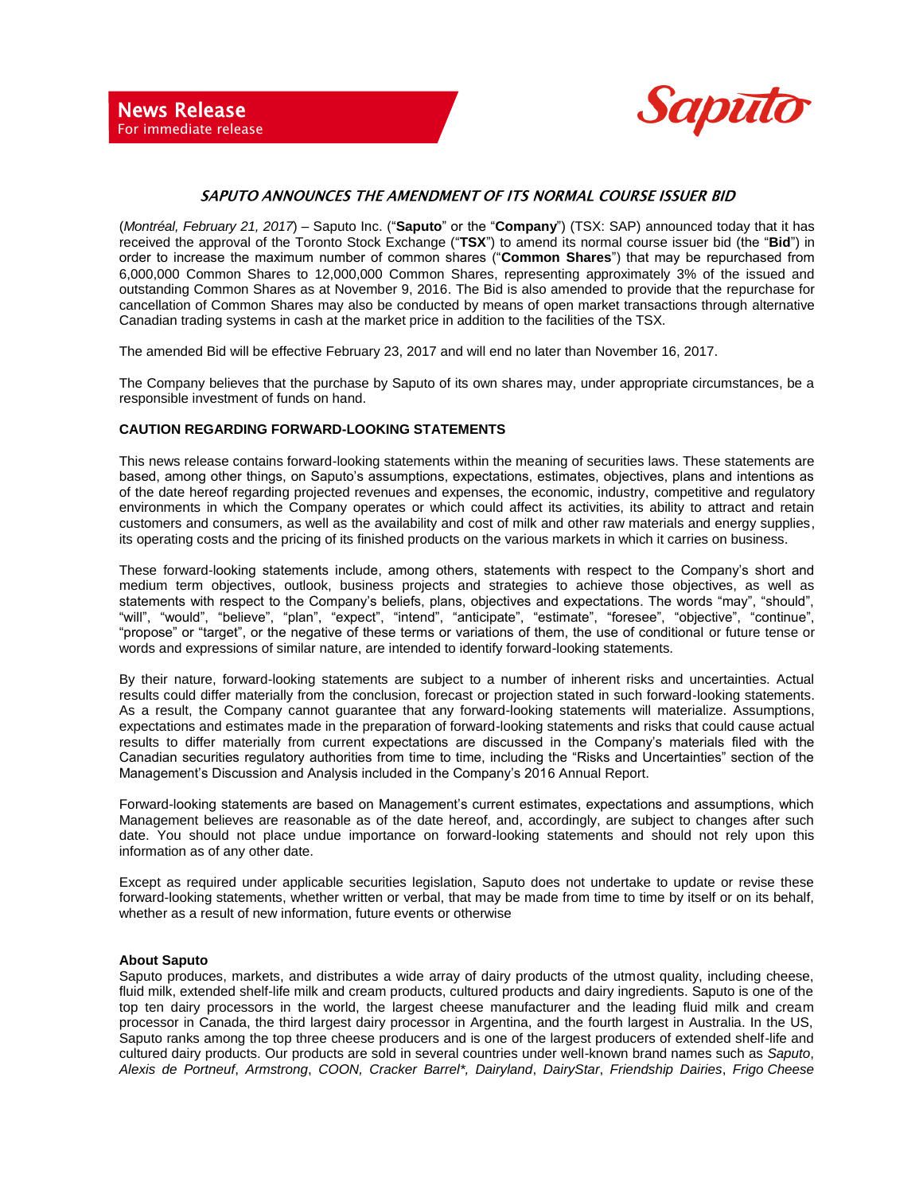

## SAPUTO ANNOUNCES THE AMENDMENT OF ITS NORMAL COURSE ISSUER BID

(*Montréal, February 21, 2017*) – Saputo Inc. ("**Saputo**" or the "**Company**") (TSX: SAP) announced today that it has received the approval of the Toronto Stock Exchange ("**TSX**") to amend its normal course issuer bid (the "**Bid**") in order to increase the maximum number of common shares ("**Common Shares**") that may be repurchased from 6,000,000 Common Shares to 12,000,000 Common Shares, representing approximately 3% of the issued and outstanding Common Shares as at November 9, 2016. The Bid is also amended to provide that the repurchase for cancellation of Common Shares may also be conducted by means of open market transactions through alternative Canadian trading systems in cash at the market price in addition to the facilities of the TSX.

The amended Bid will be effective February 23, 2017 and will end no later than November 16, 2017.

The Company believes that the purchase by Saputo of its own shares may, under appropriate circumstances, be a responsible investment of funds on hand.

## **CAUTION REGARDING FORWARD-LOOKING STATEMENTS**

This news release contains forward-looking statements within the meaning of securities laws. These statements are based, among other things, on Saputo's assumptions, expectations, estimates, objectives, plans and intentions as of the date hereof regarding projected revenues and expenses, the economic, industry, competitive and regulatory environments in which the Company operates or which could affect its activities, its ability to attract and retain customers and consumers, as well as the availability and cost of milk and other raw materials and energy supplies, its operating costs and the pricing of its finished products on the various markets in which it carries on business.

These forward-looking statements include, among others, statements with respect to the Company's short and medium term objectives, outlook, business projects and strategies to achieve those objectives, as well as statements with respect to the Company's beliefs, plans, objectives and expectations. The words "may", "should", "will", "would", "believe", "plan", "expect", "intend", "anticipate", "estimate", "foresee", "objective", "continue", "propose" or "target", or the negative of these terms or variations of them, the use of conditional or future tense or words and expressions of similar nature, are intended to identify forward-looking statements.

By their nature, forward-looking statements are subject to a number of inherent risks and uncertainties. Actual results could differ materially from the conclusion, forecast or projection stated in such forward-looking statements. As a result, the Company cannot guarantee that any forward-looking statements will materialize. Assumptions, expectations and estimates made in the preparation of forward-looking statements and risks that could cause actual results to differ materially from current expectations are discussed in the Company's materials filed with the Canadian securities regulatory authorities from time to time, including the "Risks and Uncertainties" section of the Management's Discussion and Analysis included in the Company's 2016 Annual Report.

Forward-looking statements are based on Management's current estimates, expectations and assumptions, which Management believes are reasonable as of the date hereof, and, accordingly, are subject to changes after such date. You should not place undue importance on forward-looking statements and should not rely upon this information as of any other date.

Except as required under applicable securities legislation, Saputo does not undertake to update or revise these forward-looking statements, whether written or verbal, that may be made from time to time by itself or on its behalf, whether as a result of new information, future events or otherwise

## **About Saputo**

Saputo produces, markets, and distributes a wide array of dairy products of the utmost quality, including cheese, fluid milk, extended shelf-life milk and cream products, cultured products and dairy ingredients. Saputo is one of the top ten dairy processors in the world, the largest cheese manufacturer and the leading fluid milk and cream processor in Canada, the third largest dairy processor in Argentina, and the fourth largest in Australia. In the US, Saputo ranks among the top three cheese producers and is one of the largest producers of extended shelf-life and cultured dairy products. Our products are sold in several countries under well-known brand names such as *Saputo*, *Alexis de Portneuf*, *Armstrong*, *COON, Cracker Barrel\*, Dairyland*, *DairyStar*, *Friendship Dairies*, *Frigo Cheese*